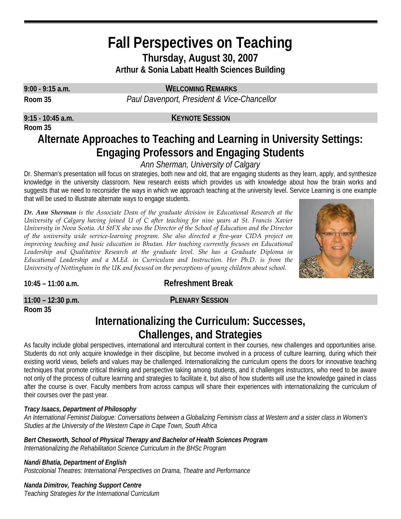## **Fall Perspectives on Teaching Thursday, August 30, 2007 Arthur & Sonia Labatt Health Sciences Building**

**Room 35**

**9:00 - 9:15 a.m. WELCOMING REMARKS**

**Room 35** *Paul Davenport, President & Vice-Chancellor*

### **9:15 - 10:45 a.m. KEYNOTE SESSION**

# **Alternate Approaches to Teaching and Learning in University Settings: Engaging Professors and Engaging Students**

*Ann Sherman, University of Calgary* 

Dr. Sherman's presentation will focus on strategies, both new and old, that are engaging students as they learn, apply, and synthesize knowledge in the university classroom. New research exists which provides us with knowledge about how the brain works and suggests that we need to reconsider the ways in which we approach teaching at the university level. Service Learning is one example that will be used to illustrate alternate ways to engage students.

*Dr. Ann Sherman is the Associate Dean of the graduate division in Educational Research at the University of Calgary having joined U of C after teaching for nine years at St. Francis Xavier University in Nova Scotia. At StFX she was the Director of the School of Education and the Director of the university wide service-learning program. She also directed a five-year CIDA project on improving teaching and basic education in Bhutan. Her teaching currently focuses on Educational* Leadership and Qualitative Research at the graduate level. She has a Graduate Diploma in *Educational Leadership and a M.Ed. in Curriculum and Instruction. Her Ph.D. is from the University of Nottingham in the UK and focused on the perceptions of young children about school.* 



**10:45 – 11:00 a.m. Refreshment Break**

**11:00 – 12:30 p.m. PLENARY SESSION Room 35**

## **Internationalizing the Curriculum: Successes, Challenges, and Strategies**

As faculty include global perspectives, international and intercultural content in their courses, new challenges and opportunities arise. Students do not only acquire knowledge in their discipline, but become involved in a process of culture learning, during which their existing world views, beliefs and values may be challenged. Internationalizing the curriculum opens the doors for innovative teaching techniques that promote critical thinking and perspective taking among students, and it challenges instructors, who need to be aware not only of the process of culture learning and strategies to facilitate it, but also of how students will use the knowledge gained in class after the course is over. Faculty members from across campus will share their experiences with internationalizing the curriculum of their courses over the past year.

## *Tracy Isaacs, Department of Philosophy*

*An International Feminist Dialogue: Conversations between a Globalizing Feminism class at Western and a sister class in Women's Studies at the University of the Western Cape in Cape Town, South Africa*

*Bert Chesworth, School of Physical Therapy and Bachelor of Health Sciences Program Internationalizing the Rehabilitation Science Curriculum in the BHSc Program*

*Nandi Bhatia, Department of English* 

*Postcolonial Theatres: International Perspectives on Drama, Theatre and Performance*

*Nanda Dimitrov, Teaching Support Centre* 

*Teaching Strategies for the International Curriculum*